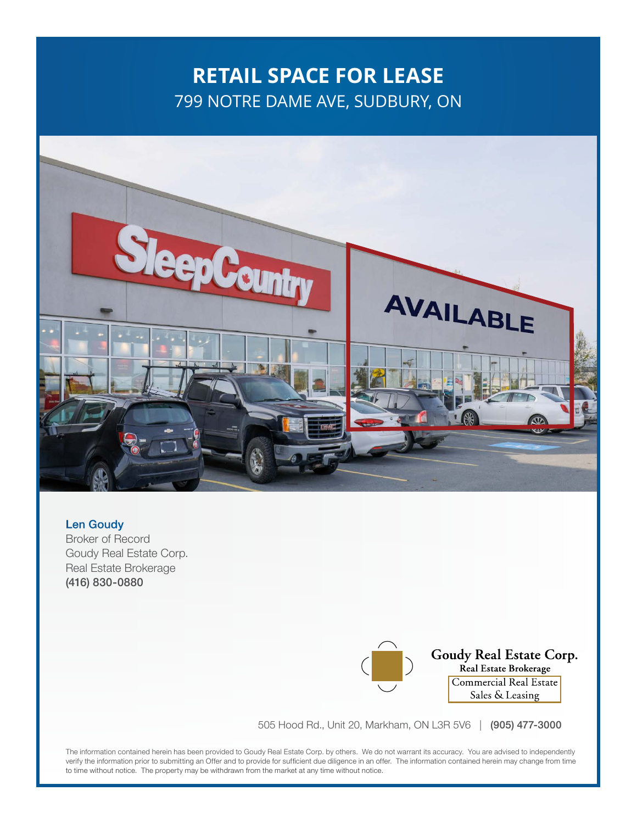# **RETAIL SPACE FOR LEASE** 799 NOTRE DAME AVE, SUDBURY, ON



Len Goudy Broker of Record Goudy Real Estate Corp. Real Estate Brokerage (416) 830-0880

**Goudy Real Estate Corp.**<br>Real Estate Brokerage Commercial Real Estate Sales & Leasing

505 Hood Rd., Unit 20, Markham, ON L3R 5V6 | (905) 477-3000

The information contained herein has been provided to Goudy Real Estate Corp. by others. We do not warrant its accuracy. You are advised to independently verify the information prior to submitting an Offer and to provide for sufficient due diligence in an offer. The information contained herein may change from time to time without notice. The property may be withdrawn from the market at any time without notice.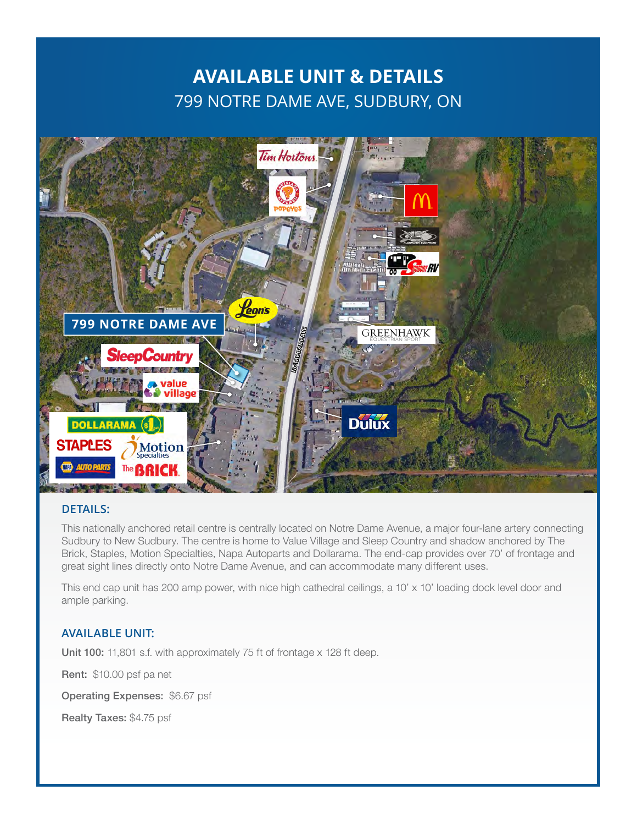### **AVAILABLE UNIT & DETAILS** 799 NOTRE DAME AVE, SUDBURY, ON



#### **DETAILS:**

This nationally anchored retail centre is centrally located on Notre Dame Avenue, a major four-lane artery connecting Sudbury to New Sudbury. The centre is home to Value Village and Sleep Country and shadow anchored by The Brick, Staples, Motion Specialties, Napa Autoparts and Dollarama. The end-cap provides over 70' of frontage and great sight lines directly onto Notre Dame Avenue, and can accommodate many different uses.

This end cap unit has 200 amp power, with nice high cathedral ceilings, a 10' x 10' loading dock level door and ample parking.

#### **AVAILABLE UNIT:**

Unit 100: 11,801 s.f. with approximately 75 ft of frontage x 128 ft deep.

Rent: \$10.00 psf pa net

Operating Expenses: \$6.67 psf

Realty Taxes: \$4.75 psf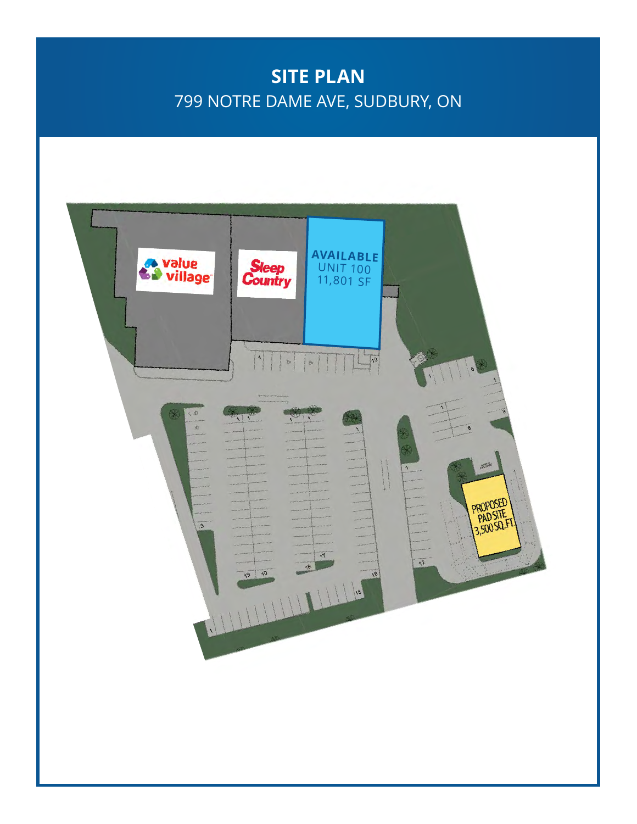# **SITE PLAN** 799 NOTRE DAME AVE, SUDBURY, ON

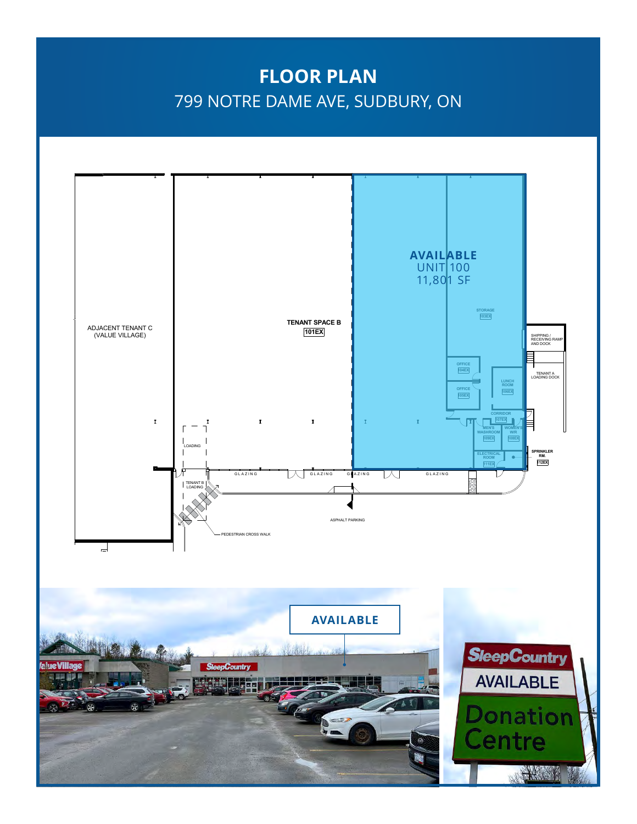## **FLOOR PLAN** 799 NOTRE DAME AVE, SUDBURY, ON

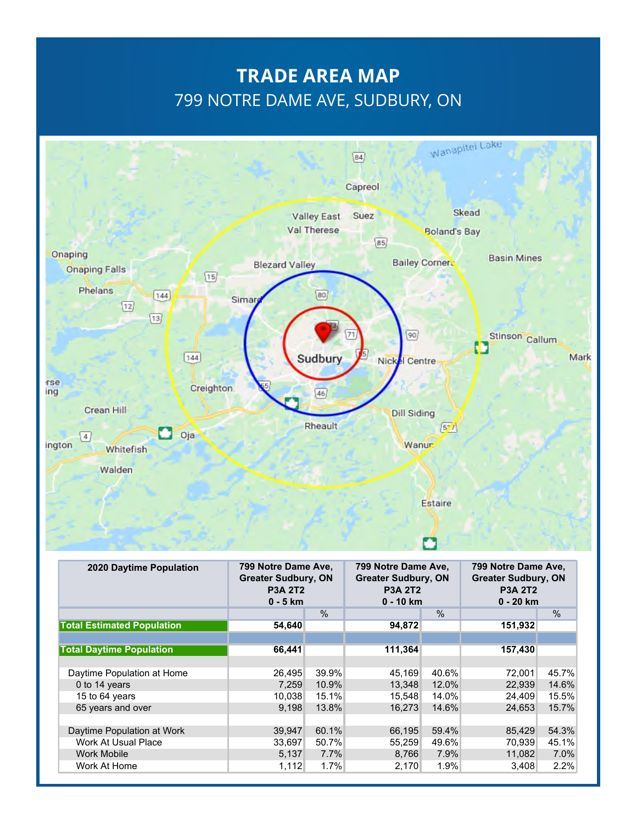## **TRADE AREA MAP** 799 NOTRE DAME AVE, SUDBURY, ON



| 2020 Daytime Population           | 799 Notre Dame Ave.<br><b>Greater Sudbury, ON</b><br><b>P3A 2T2</b><br>$0 - 5$ km |       | 799 Notre Dame Ave.<br><b>Greater Sudbury, ON</b><br><b>P3A 2T2</b><br>$0 - 10$ km |       | 799 Notre Dame Ave.<br><b>Greater Sudbury, ON</b><br><b>P3A 2T2</b><br>$0 - 20$ km |       |
|-----------------------------------|-----------------------------------------------------------------------------------|-------|------------------------------------------------------------------------------------|-------|------------------------------------------------------------------------------------|-------|
|                                   |                                                                                   | $\%$  |                                                                                    | $\%$  |                                                                                    | %     |
| <b>Total Estimated Population</b> | 54,640                                                                            |       | 94,872                                                                             |       | 151,932                                                                            |       |
|                                   |                                                                                   |       |                                                                                    |       |                                                                                    |       |
| <b>Total Daytime Population</b>   | 66,441                                                                            |       | 111,364                                                                            |       | 157,430                                                                            |       |
|                                   |                                                                                   |       |                                                                                    |       |                                                                                    |       |
| Daytime Population at Home        | 26.495                                                                            | 39.9% | 45.169                                                                             | 40.6% | 72.001                                                                             | 45.7% |
| 0 to 14 years                     | 7.259                                                                             | 10.9% | 13,348                                                                             | 12.0% | 22,939                                                                             | 14.6% |
| 15 to 64 years                    | 10.038                                                                            | 15.1% | 15,548                                                                             | 14.0% | 24,409                                                                             | 15.5% |
| 65 years and over                 | 9.198                                                                             | 13.8% | 16.273                                                                             | 14.6% | 24.653                                                                             | 15.7% |
|                                   |                                                                                   |       |                                                                                    |       |                                                                                    |       |
| Daytime Population at Work        | 39,947                                                                            | 60.1% | 66,195                                                                             | 59.4% | 85,429                                                                             | 54.3% |
| Work At Usual Place               | 33,697                                                                            | 50.7% | 55,259                                                                             | 49.6% | 70,939                                                                             | 45.1% |
| <b>Work Mobile</b>                | 5,137                                                                             | 7.7%  | 8,766                                                                              | 7.9%  | 11,082                                                                             | 7.0%  |
| Work At Home                      | 1,112                                                                             | 1.7%  | 2,170                                                                              | 1.9%  | 3,408                                                                              | 2.2%  |